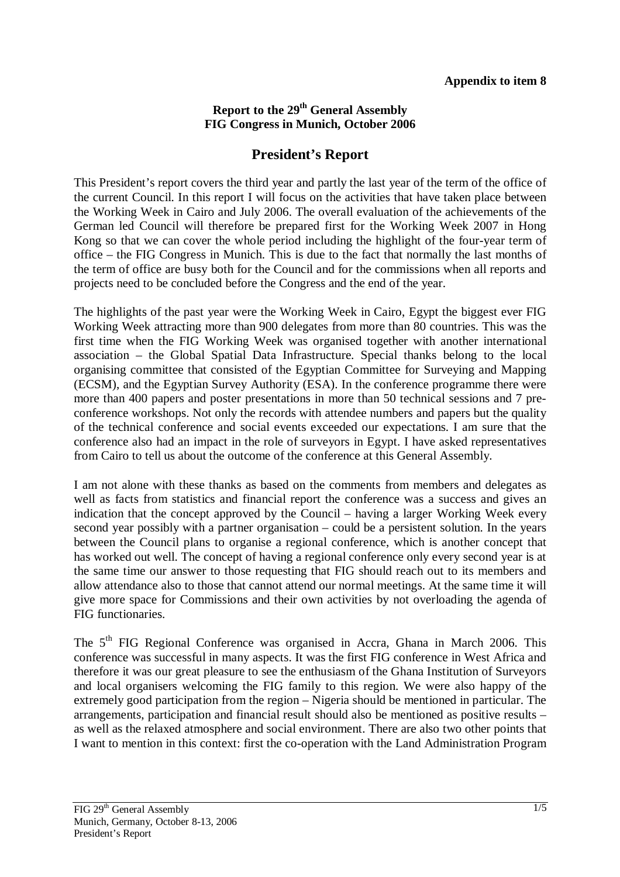## **Report to the 29<sup>th</sup> General Assembly FIG Congress in Munich, October 2006**

## **President's Report**

This President's report covers the third year and partly the last year of the term of the office of the current Council. In this report I will focus on the activities that have taken place between the Working Week in Cairo and July 2006. The overall evaluation of the achievements of the German led Council will therefore be prepared first for the Working Week 2007 in Hong Kong so that we can cover the whole period including the highlight of the four-year term of office – the FIG Congress in Munich. This is due to the fact that normally the last months of the term of office are busy both for the Council and for the commissions when all reports and projects need to be concluded before the Congress and the end of the year.

The highlights of the past year were the Working Week in Cairo, Egypt the biggest ever FIG Working Week attracting more than 900 delegates from more than 80 countries. This was the first time when the FIG Working Week was organised together with another international association – the Global Spatial Data Infrastructure. Special thanks belong to the local organising committee that consisted of the Egyptian Committee for Surveying and Mapping (ECSM), and the Egyptian Survey Authority (ESA). In the conference programme there were more than 400 papers and poster presentations in more than 50 technical sessions and 7 preconference workshops. Not only the records with attendee numbers and papers but the quality of the technical conference and social events exceeded our expectations. I am sure that the conference also had an impact in the role of surveyors in Egypt. I have asked representatives from Cairo to tell us about the outcome of the conference at this General Assembly.

I am not alone with these thanks as based on the comments from members and delegates as well as facts from statistics and financial report the conference was a success and gives an indication that the concept approved by the Council – having a larger Working Week every second year possibly with a partner organisation – could be a persistent solution. In the years between the Council plans to organise a regional conference, which is another concept that has worked out well. The concept of having a regional conference only every second year is at the same time our answer to those requesting that FIG should reach out to its members and allow attendance also to those that cannot attend our normal meetings. At the same time it will give more space for Commissions and their own activities by not overloading the agenda of FIG functionaries.

The 5<sup>th</sup> FIG Regional Conference was organised in Accra, Ghana in March 2006. This conference was successful in many aspects. It was the first FIG conference in West Africa and therefore it was our great pleasure to see the enthusiasm of the Ghana Institution of Surveyors and local organisers welcoming the FIG family to this region. We were also happy of the extremely good participation from the region – Nigeria should be mentioned in particular. The arrangements, participation and financial result should also be mentioned as positive results – as well as the relaxed atmosphere and social environment. There are also two other points that I want to mention in this context: first the co-operation with the Land Administration Program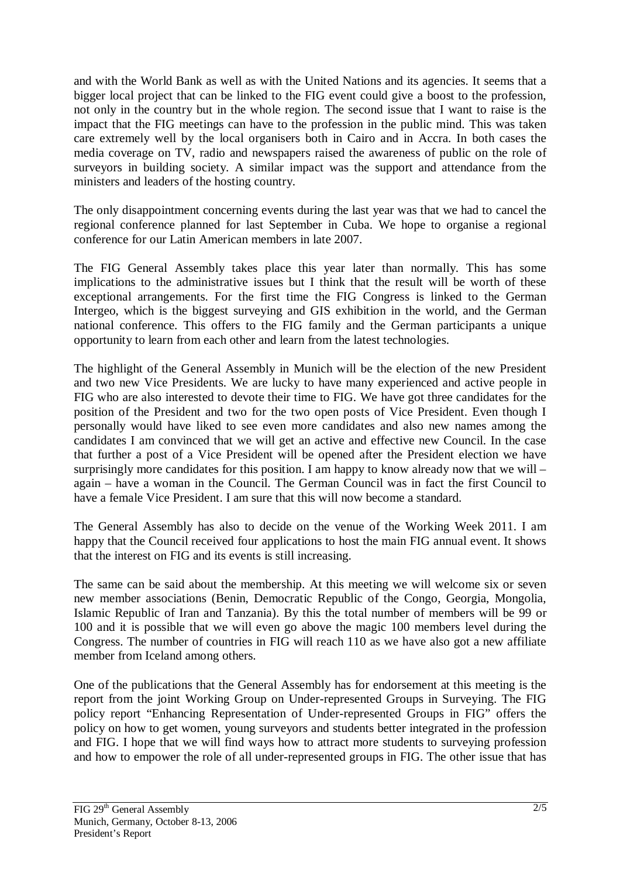and with the World Bank as well as with the United Nations and its agencies. It seems that a bigger local project that can be linked to the FIG event could give a boost to the profession, not only in the country but in the whole region. The second issue that I want to raise is the impact that the FIG meetings can have to the profession in the public mind. This was taken care extremely well by the local organisers both in Cairo and in Accra. In both cases the media coverage on TV, radio and newspapers raised the awareness of public on the role of surveyors in building society. A similar impact was the support and attendance from the ministers and leaders of the hosting country.

The only disappointment concerning events during the last year was that we had to cancel the regional conference planned for last September in Cuba. We hope to organise a regional conference for our Latin American members in late 2007.

The FIG General Assembly takes place this year later than normally. This has some implications to the administrative issues but I think that the result will be worth of these exceptional arrangements. For the first time the FIG Congress is linked to the German Intergeo, which is the biggest surveying and GIS exhibition in the world, and the German national conference. This offers to the FIG family and the German participants a unique opportunity to learn from each other and learn from the latest technologies.

The highlight of the General Assembly in Munich will be the election of the new President and two new Vice Presidents. We are lucky to have many experienced and active people in FIG who are also interested to devote their time to FIG. We have got three candidates for the position of the President and two for the two open posts of Vice President. Even though I personally would have liked to see even more candidates and also new names among the candidates I am convinced that we will get an active and effective new Council. In the case that further a post of a Vice President will be opened after the President election we have surprisingly more candidates for this position. I am happy to know already now that we will – again – have a woman in the Council. The German Council was in fact the first Council to have a female Vice President. I am sure that this will now become a standard.

The General Assembly has also to decide on the venue of the Working Week 2011. I am happy that the Council received four applications to host the main FIG annual event. It shows that the interest on FIG and its events is still increasing.

The same can be said about the membership. At this meeting we will welcome six or seven new member associations (Benin, Democratic Republic of the Congo, Georgia, Mongolia, Islamic Republic of Iran and Tanzania). By this the total number of members will be 99 or 100 and it is possible that we will even go above the magic 100 members level during the Congress. The number of countries in FIG will reach 110 as we have also got a new affiliate member from Iceland among others.

One of the publications that the General Assembly has for endorsement at this meeting is the report from the joint Working Group on Under-represented Groups in Surveying. The FIG policy report "Enhancing Representation of Under-represented Groups in FIG" offers the policy on how to get women, young surveyors and students better integrated in the profession and FIG. I hope that we will find ways how to attract more students to surveying profession and how to empower the role of all under-represented groups in FIG. The other issue that has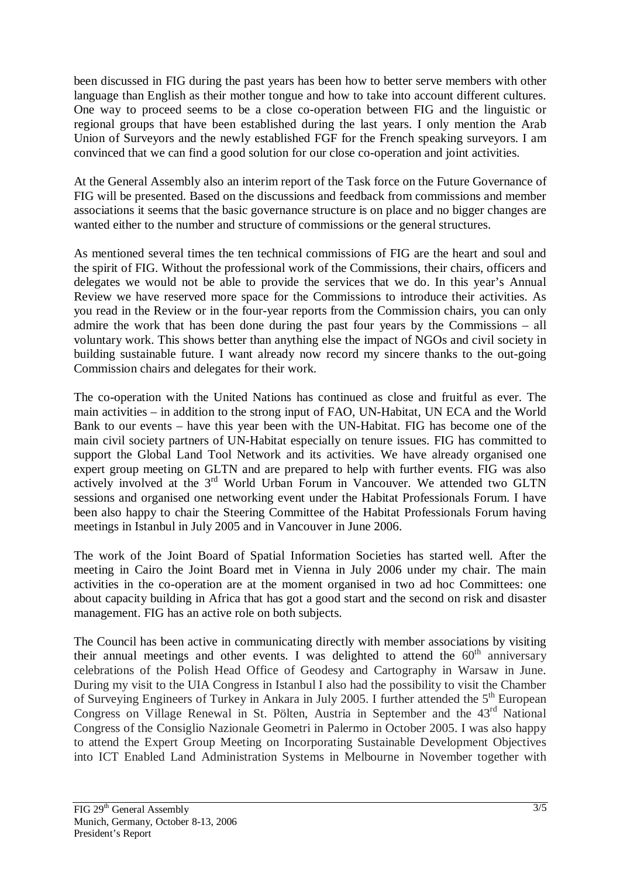been discussed in FIG during the past years has been how to better serve members with other language than English as their mother tongue and how to take into account different cultures. One way to proceed seems to be a close co-operation between FIG and the linguistic or regional groups that have been established during the last years. I only mention the Arab Union of Surveyors and the newly established FGF for the French speaking surveyors. I am convinced that we can find a good solution for our close co-operation and joint activities.

At the General Assembly also an interim report of the Task force on the Future Governance of FIG will be presented. Based on the discussions and feedback from commissions and member associations it seems that the basic governance structure is on place and no bigger changes are wanted either to the number and structure of commissions or the general structures.

As mentioned several times the ten technical commissions of FIG are the heart and soul and the spirit of FIG. Without the professional work of the Commissions, their chairs, officers and delegates we would not be able to provide the services that we do. In this year's Annual Review we have reserved more space for the Commissions to introduce their activities. As you read in the Review or in the four-year reports from the Commission chairs, you can only admire the work that has been done during the past four years by the Commissions – all voluntary work. This shows better than anything else the impact of NGOs and civil society in building sustainable future. I want already now record my sincere thanks to the out-going Commission chairs and delegates for their work.

The co-operation with the United Nations has continued as close and fruitful as ever. The main activities – in addition to the strong input of FAO, UN-Habitat, UN ECA and the World Bank to our events – have this year been with the UN-Habitat. FIG has become one of the main civil society partners of UN-Habitat especially on tenure issues. FIG has committed to support the Global Land Tool Network and its activities. We have already organised one expert group meeting on GLTN and are prepared to help with further events. FIG was also actively involved at the 3<sup>rd</sup> World Urban Forum in Vancouver. We attended two GLTN sessions and organised one networking event under the Habitat Professionals Forum. I have been also happy to chair the Steering Committee of the Habitat Professionals Forum having meetings in Istanbul in July 2005 and in Vancouver in June 2006.

The work of the Joint Board of Spatial Information Societies has started well. After the meeting in Cairo the Joint Board met in Vienna in July 2006 under my chair. The main activities in the co-operation are at the moment organised in two ad hoc Committees: one about capacity building in Africa that has got a good start and the second on risk and disaster management. FIG has an active role on both subjects.

The Council has been active in communicating directly with member associations by visiting their annual meetings and other events. I was delighted to attend the  $60<sup>th</sup>$  anniversary celebrations of the Polish Head Office of Geodesy and Cartography in Warsaw in June. During my visit to the UIA Congress in Istanbul I also had the possibility to visit the Chamber of Surveying Engineers of Turkey in Ankara in July 2005. I further attended the 5<sup>th</sup> European Congress on Village Renewal in St. Pölten, Austria in September and the 43<sup>rd</sup> National Congress of the Consiglio Nazionale Geometri in Palermo in October 2005. I was also happy to attend the Expert Group Meeting on Incorporating Sustainable Development Objectives into ICT Enabled Land Administration Systems in Melbourne in November together with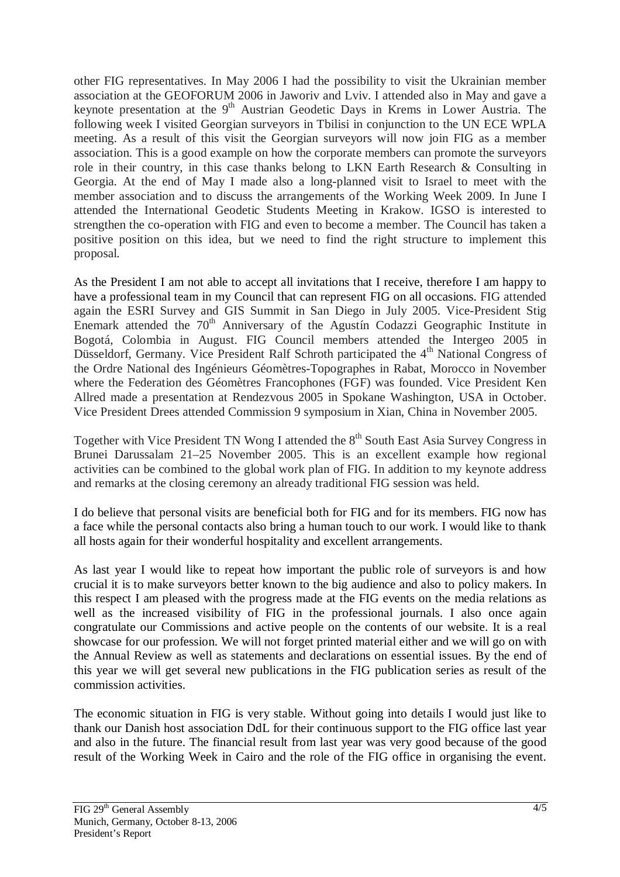other FIG representatives. In May 2006 I had the possibility to visit the Ukrainian member association at the GEOFORUM 2006 in Jaworiv and Lviv. I attended also in May and gave a keynote presentation at the 9<sup>th</sup> Austrian Geodetic Days in Krems in Lower Austria. The following week I visited Georgian surveyors in Tbilisi in conjunction to the UN ECE WPLA meeting. As a result of this visit the Georgian surveyors will now join FIG as a member association. This is a good example on how the corporate members can promote the surveyors role in their country, in this case thanks belong to LKN Earth Research & Consulting in Georgia. At the end of May I made also a long-planned visit to Israel to meet with the member association and to discuss the arrangements of the Working Week 2009. In June I attended the International Geodetic Students Meeting in Krakow. IGSO is interested to strengthen the co-operation with FIG and even to become a member. The Council has taken a positive position on this idea, but we need to find the right structure to implement this proposal.

As the President I am not able to accept all invitations that I receive, therefore I am happy to have a professional team in my Council that can represent FIG on all occasions. FIG attended again the ESRI Survey and GIS Summit in San Diego in July 2005. Vice-President Stig Enemark attended the  $70<sup>th</sup>$  Anniversary of the Agustín Codazzi Geographic Institute in Bogotá, Colombia in August. FIG Council members attended the Intergeo 2005 in Düsseldorf, Germany. Vice President Ralf Schroth participated the 4<sup>th</sup> National Congress of the Ordre National des Ingénieurs Géomètres-Topographes in Rabat, Morocco in November where the Federation des Géomètres Francophones (FGF) was founded. Vice President Ken Allred made a presentation at Rendezvous 2005 in Spokane Washington, USA in October. Vice President Drees attended Commission 9 symposium in Xian, China in November 2005.

Together with Vice President TN Wong I attended the 8<sup>th</sup> South East Asia Survey Congress in Brunei Darussalam 21–25 November 2005. This is an excellent example how regional activities can be combined to the global work plan of FIG. In addition to my keynote address and remarks at the closing ceremony an already traditional FIG session was held.

I do believe that personal visits are beneficial both for FIG and for its members. FIG now has a face while the personal contacts also bring a human touch to our work. I would like to thank all hosts again for their wonderful hospitality and excellent arrangements.

As last year I would like to repeat how important the public role of surveyors is and how crucial it is to make surveyors better known to the big audience and also to policy makers. In this respect I am pleased with the progress made at the FIG events on the media relations as well as the increased visibility of FIG in the professional journals. I also once again congratulate our Commissions and active people on the contents of our website. It is a real showcase for our profession. We will not forget printed material either and we will go on with the Annual Review as well as statements and declarations on essential issues. By the end of this year we will get several new publications in the FIG publication series as result of the commission activities.

The economic situation in FIG is very stable. Without going into details I would just like to thank our Danish host association DdL for their continuous support to the FIG office last year and also in the future. The financial result from last year was very good because of the good result of the Working Week in Cairo and the role of the FIG office in organising the event.